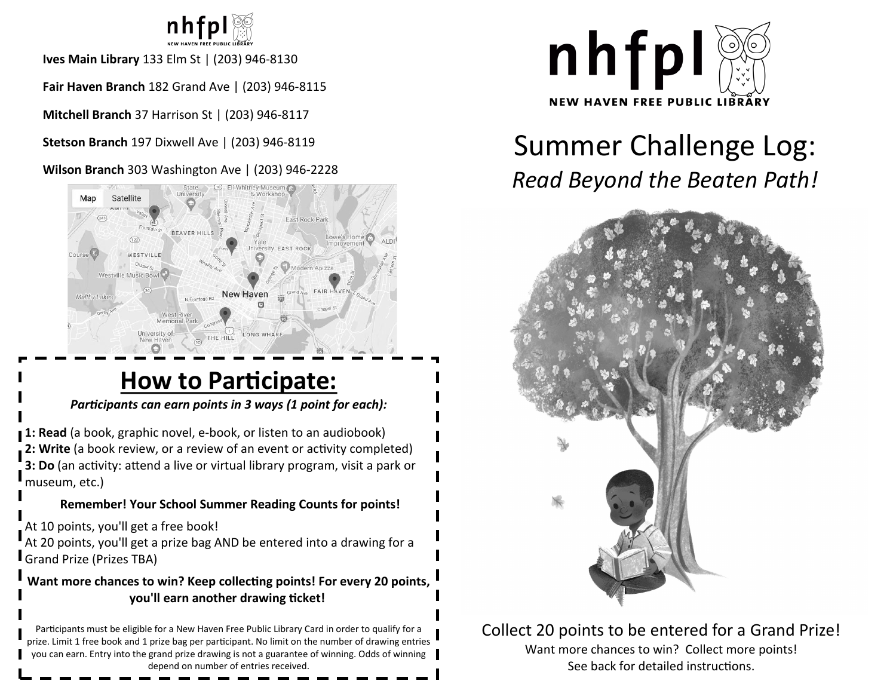

**Ives Main Library** 133 Elm St | (203) 946-8130

**Fair Haven Branch** 182 Grand Ave | (203) 946-8115

**Mitchell Branch** 37 Harrison St | (203) 946-8117

**Stetson Branch** 197 Dixwell Ave | (203) 946-8119

**Wilson Branch** 303 Washington Ave | (203) 946-2228



## **How to Participate:**

#### *Participants can earn points in 3 ways (1 point for each):*

**1: Read** (a book, graphic novel, e-book, or listen to an audiobook) **2: Write** (a book review, or a review of an event or activity completed) **3: Do** (an activity: attend a live or virtual library program, visit a park or museum, etc.)

### **Remember! Your School Summer Reading Counts for points!**

At 10 points, you'll get a free book!

At 20 points, you'll get a prize bag AND be entered into a drawing for a Grand Prize (Prizes TBA)

#### **Want more chances to win? Keep collecting points! For every 20 points, you'll earn another drawing ticket!**

Participants must be eligible for a New Haven Free Public Library Card in order to qualify for a prize. Limit 1 free book and 1 prize bag per participant. No limit on the number of drawing entries you can earn. Entry into the grand prize drawing is not a guarantee of winning. Odds of winning depend on number of entries received.



# Summer Challenge Log: *Read Beyond the Beaten Path!*



Collect 20 points to be entered for a Grand Prize! Want more chances to win? Collect more points! See back for detailed instructions.